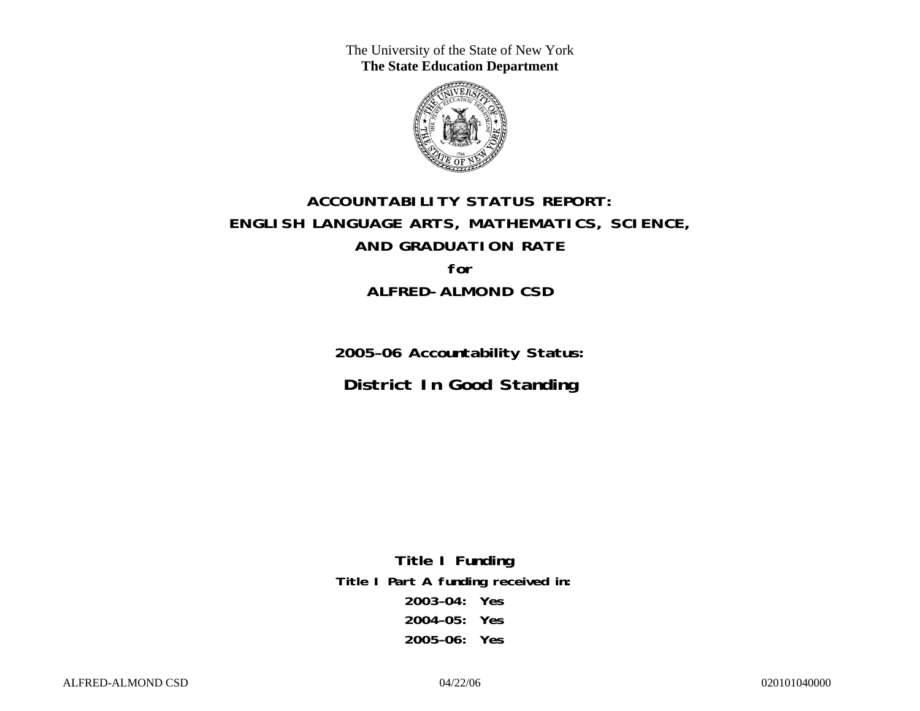The University of the State of New York **The State Education Department** 



# **ACCOUNTABILITY STATUS REPORT: ENGLISH LANGUAGE ARTS, MATHEMATICS, SCIENCE, AND GRADUATION RATE for ALFRED-ALMOND CSD**

**2005–06 Accountability Status: District In Good Standing** 

**Title I Funding Title I Part A funding received in: 2003–04: Yes 2004–05: Yes 2005–06: Yes**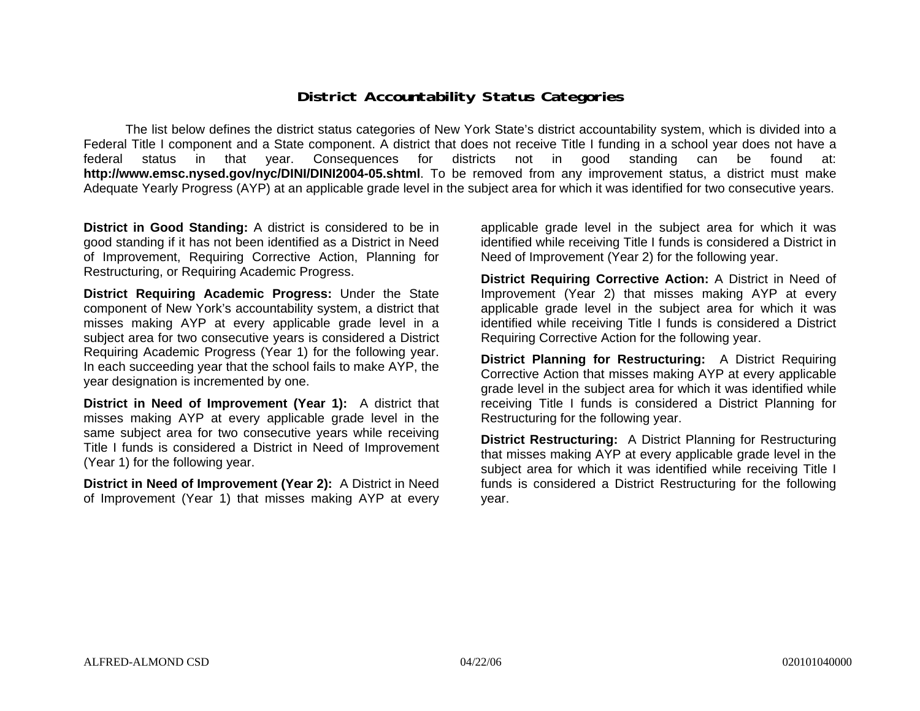### **District Accountability Status Categories**

The list below defines the district status categories of New York State's district accountability system, which is divided into a Federal Title I component and a State component. A district that does not receive Title I funding in a school year does not have a federal status in that year. Consequences for districts not in good standing can be found at: **http://www.emsc.nysed.gov/nyc/DINI/DINI2004-05.shtml**. To be removed from any improvement status, a district must make Adequate Yearly Progress (AYP) at an applicable grade level in the subject area for which it was identified for two consecutive years.

**District in Good Standing:** A district is considered to be in good standing if it has not been identified as a District in Need of Improvement, Requiring Corrective Action, Planning for Restructuring, or Requiring Academic Progress.

**District Requiring Academic Progress:** Under the State component of New York's accountability system, a district that misses making AYP at every applicable grade level in a subject area for two consecutive years is considered a District Requiring Academic Progress (Year 1) for the following year. In each succeeding year that the school fails to make AYP, the year designation is incremented by one.

**District in Need of Improvement (Year 1):** A district that misses making AYP at every applicable grade level in the same subject area for two consecutive years while receiving Title I funds is considered a District in Need of Improvement (Year 1) for the following year.

**District in Need of Improvement (Year 2):** A District in Need of Improvement (Year 1) that misses making AYP at every

applicable grade level in the subject area for which it was identified while receiving Title I funds is considered a District in Need of Improvement (Year 2) for the following year.

**District Requiring Corrective Action:** A District in Need of Improvement (Year 2) that misses making AYP at every applicable grade level in the subject area for which it was identified while receiving Title I funds is considered a District Requiring Corrective Action for the following year.

**District Planning for Restructuring:** A District Requiring Corrective Action that misses making AYP at every applicable grade level in the subject area for which it was identified while receiving Title I funds is considered a District Planning for Restructuring for the following year.

**District Restructuring:** A District Planning for Restructuring that misses making AYP at every applicable grade level in the subject area for which it was identified while receiving Title I funds is considered a District Restructuring for the following year.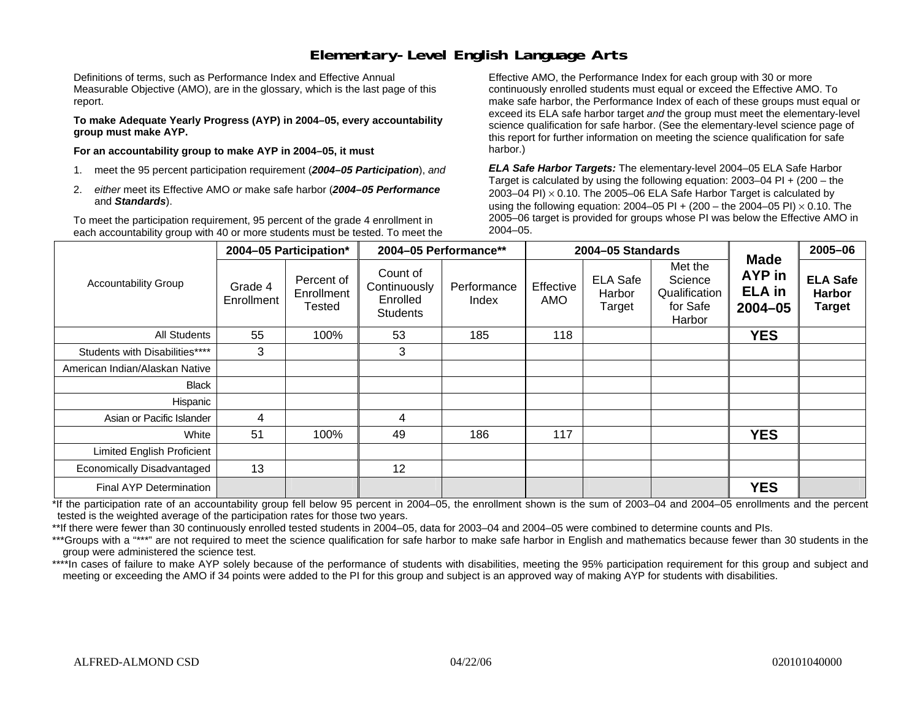### **Elementary-Level English Language Arts**

Definitions of terms, such as Performance Index and Effective Annual Measurable Objective (AMO), are in the glossary, which is the last page of this report.

**To make Adequate Yearly Progress (AYP) in 2004–05, every accountability group must make AYP.** 

**For an accountability group to make AYP in 2004–05, it must** 

- 1. meet the 95 percent participation requirement (*2004–05 Participation*), *and*
- 2. *either* meet its Effective AMO *or* make safe harbor (*2004–05 Performance*  and *Standards*).

To meet the participation requirement, 95 percent of the grade 4 enrollment in each accountability group with 40 or more students must be tested. To meet the

Effective AMO, the Performance Index for each group with 30 or more continuously enrolled students must equal or exceed the Effective AMO. To make safe harbor, the Performance Index of each of these groups must equal or exceed its ELA safe harbor target *and* the group must meet the elementary-level science qualification for safe harbor. (See the elementary-level science page of this report for further information on meeting the science qualification for safe harbor.)

*ELA Safe Harbor Targets:* The elementary-level 2004–05 ELA Safe Harbor Target is calculated by using the following equation: 2003–04 PI + (200 – the 2003–04 PI)  $\times$  0.10. The 2005–06 ELA Safe Harbor Target is calculated by using the following equation: 2004–05 PI + (200 – the 2004–05 PI) × 0.10. The 2005–06 target is provided for groups whose PI was below the Effective AMO in 2004–05.

|                                |                       | 2004-05 Participation*                    |                                                         | 2004-05 Performance** |                  | 2004-05 Standards                   |                                                           |                                                       | 2005-06                                           |
|--------------------------------|-----------------------|-------------------------------------------|---------------------------------------------------------|-----------------------|------------------|-------------------------------------|-----------------------------------------------------------|-------------------------------------------------------|---------------------------------------------------|
| <b>Accountability Group</b>    | Grade 4<br>Enrollment | Percent of<br>Enrollment<br><b>Tested</b> | Count of<br>Continuously<br>Enrolled<br><b>Students</b> | Performance<br>Index  | Effective<br>AMO | <b>ELA Safe</b><br>Harbor<br>Target | Met the<br>Science<br>Qualification<br>for Safe<br>Harbor | <b>Made</b><br>AYP in<br><b>ELA</b> in<br>$2004 - 05$ | <b>ELA Safe</b><br><b>Harbor</b><br><b>Target</b> |
| <b>All Students</b>            | 55                    | 100%                                      | 53                                                      | 185                   | 118              |                                     |                                                           | <b>YES</b>                                            |                                                   |
| Students with Disabilities**** | 3                     |                                           | 3                                                       |                       |                  |                                     |                                                           |                                                       |                                                   |
| American Indian/Alaskan Native |                       |                                           |                                                         |                       |                  |                                     |                                                           |                                                       |                                                   |
| Black                          |                       |                                           |                                                         |                       |                  |                                     |                                                           |                                                       |                                                   |
| Hispanic                       |                       |                                           |                                                         |                       |                  |                                     |                                                           |                                                       |                                                   |
| Asian or Pacific Islander      | 4                     |                                           | 4                                                       |                       |                  |                                     |                                                           |                                                       |                                                   |
| White                          | 51                    | 100%                                      | 49                                                      | 186                   | 117              |                                     |                                                           | <b>YES</b>                                            |                                                   |
| Limited English Proficient     |                       |                                           |                                                         |                       |                  |                                     |                                                           |                                                       |                                                   |
| Economically Disadvantaged     | 13                    |                                           | 12                                                      |                       |                  |                                     |                                                           |                                                       |                                                   |
| Final AYP Determination        |                       |                                           |                                                         |                       |                  |                                     |                                                           | <b>YES</b>                                            |                                                   |

\*If the participation rate of an accountability group fell below 95 percent in 2004–05, the enrollment shown is the sum of 2003–04 and 2004–05 enrollments and the percent tested is the weighted average of the participation rates for those two years.

\*\*If there were fewer than 30 continuously enrolled tested students in 2004–05, data for 2003–04 and 2004–05 were combined to determine counts and PIs.

\*\*\*Groups with a "\*\*\*" are not required to meet the science qualification for safe harbor to make safe harbor in English and mathematics because fewer than 30 students in the group were administered the science test.

\*\*\*\*In cases of failure to make AYP solely because of the performance of students with disabilities, meeting the 95% participation requirement for this group and subject and meeting or exceeding the AMO if 34 points were added to the PI for this group and subject is an approved way of making AYP for students with disabilities.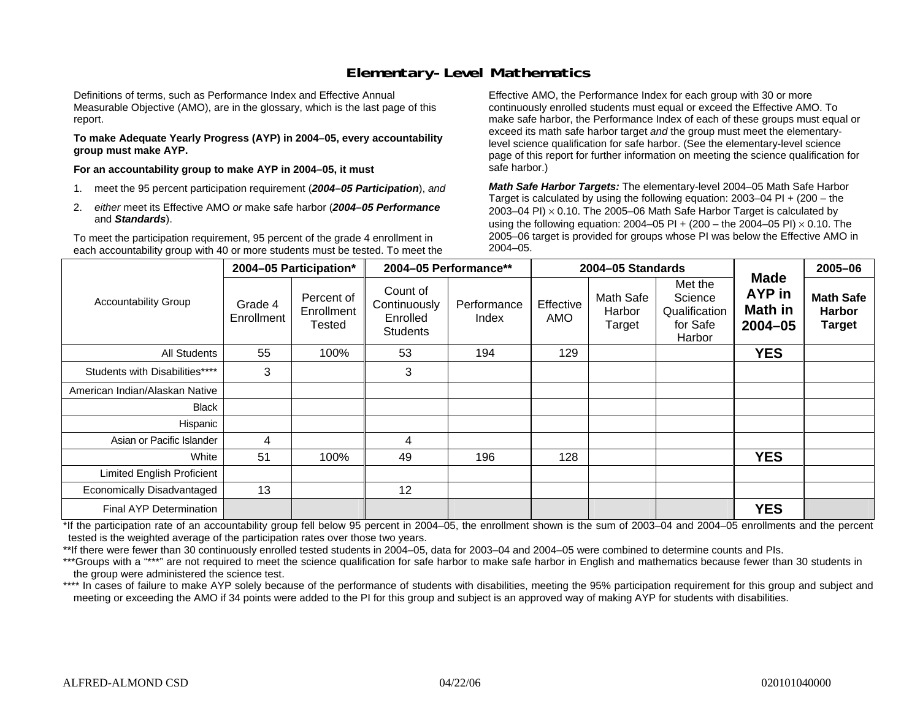### **Elementary-Level Mathematics**

Definitions of terms, such as Performance Index and Effective Annual Measurable Objective (AMO), are in the glossary, which is the last page of this report.

**To make Adequate Yearly Progress (AYP) in 2004–05, every accountability group must make AYP.** 

**For an accountability group to make AYP in 2004–05, it must** 

- 1. meet the 95 percent participation requirement (*2004–05 Participation*), *and*
- 2. *either* meet its Effective AMO *or* make safe harbor (*2004–05 Performance*  and *Standards*).

To meet the participation requirement, 95 percent of the grade 4 enrollment in each accountability group with 40 or more students must be tested. To meet the

Effective AMO, the Performance Index for each group with 30 or more continuously enrolled students must equal or exceed the Effective AMO. To make safe harbor, the Performance Index of each of these groups must equal or exceed its math safe harbor target *and* the group must meet the elementarylevel science qualification for safe harbor. (See the elementary-level science page of this report for further information on meeting the science qualification for safe harbor.)

*Math Safe Harbor Targets:* The elementary-level 2004–05 Math Safe Harbor Target is calculated by using the following equation: 2003–04 PI + (200 – the 2003–04 PI)  $\times$  0.10. The 2005–06 Math Safe Harbor Target is calculated by using the following equation: 2004–05 PI + (200 – the 2004–05 PI) × 0.10. The 2005–06 target is provided for groups whose PI was below the Effective AMO in 2004–05.

|                                   |                       | 2004-05 Participation*             | 2004-05 Performance**                                   |                      |                         | 2004-05 Standards             |                                                           |                                                 | 2005-06                                            |
|-----------------------------------|-----------------------|------------------------------------|---------------------------------------------------------|----------------------|-------------------------|-------------------------------|-----------------------------------------------------------|-------------------------------------------------|----------------------------------------------------|
| <b>Accountability Group</b>       | Grade 4<br>Enrollment | Percent of<br>Enrollment<br>Tested | Count of<br>Continuously<br>Enrolled<br><b>Students</b> | Performance<br>Index | Effective<br><b>AMO</b> | Math Safe<br>Harbor<br>Target | Met the<br>Science<br>Qualification<br>for Safe<br>Harbor | <b>Made</b><br>AYP in<br>Math in<br>$2004 - 05$ | <b>Math Safe</b><br><b>Harbor</b><br><b>Target</b> |
| <b>All Students</b>               | 55                    | 100%                               | 53                                                      | 194                  | 129                     |                               |                                                           | <b>YES</b>                                      |                                                    |
| Students with Disabilities****    | 3                     |                                    | 3                                                       |                      |                         |                               |                                                           |                                                 |                                                    |
| American Indian/Alaskan Native    |                       |                                    |                                                         |                      |                         |                               |                                                           |                                                 |                                                    |
| <b>Black</b>                      |                       |                                    |                                                         |                      |                         |                               |                                                           |                                                 |                                                    |
| Hispanic                          |                       |                                    |                                                         |                      |                         |                               |                                                           |                                                 |                                                    |
| Asian or Pacific Islander         | 4                     |                                    | 4                                                       |                      |                         |                               |                                                           |                                                 |                                                    |
| White                             | 51                    | 100%                               | 49                                                      | 196                  | 128                     |                               |                                                           | <b>YES</b>                                      |                                                    |
| <b>Limited English Proficient</b> |                       |                                    |                                                         |                      |                         |                               |                                                           |                                                 |                                                    |
| Economically Disadvantaged        | 13                    |                                    | 12                                                      |                      |                         |                               |                                                           |                                                 |                                                    |
| <b>Final AYP Determination</b>    |                       |                                    |                                                         |                      |                         |                               |                                                           | <b>YES</b>                                      |                                                    |

\*If the participation rate of an accountability group fell below 95 percent in 2004–05, the enrollment shown is the sum of 2003–04 and 2004–05 enrollments and the percent tested is the weighted average of the participation rates over those two years.

\*\*If there were fewer than 30 continuously enrolled tested students in 2004–05, data for 2003–04 and 2004–05 were combined to determine counts and PIs.

\*\*\*Groups with a "\*\*\*" are not required to meet the science qualification for safe harbor to make safe harbor in English and mathematics because fewer than 30 students in the group were administered the science test.

\*\*\*\* In cases of failure to make AYP solely because of the performance of students with disabilities, meeting the 95% participation requirement for this group and subject and meeting or exceeding the AMO if 34 points were added to the PI for this group and subject is an approved way of making AYP for students with disabilities.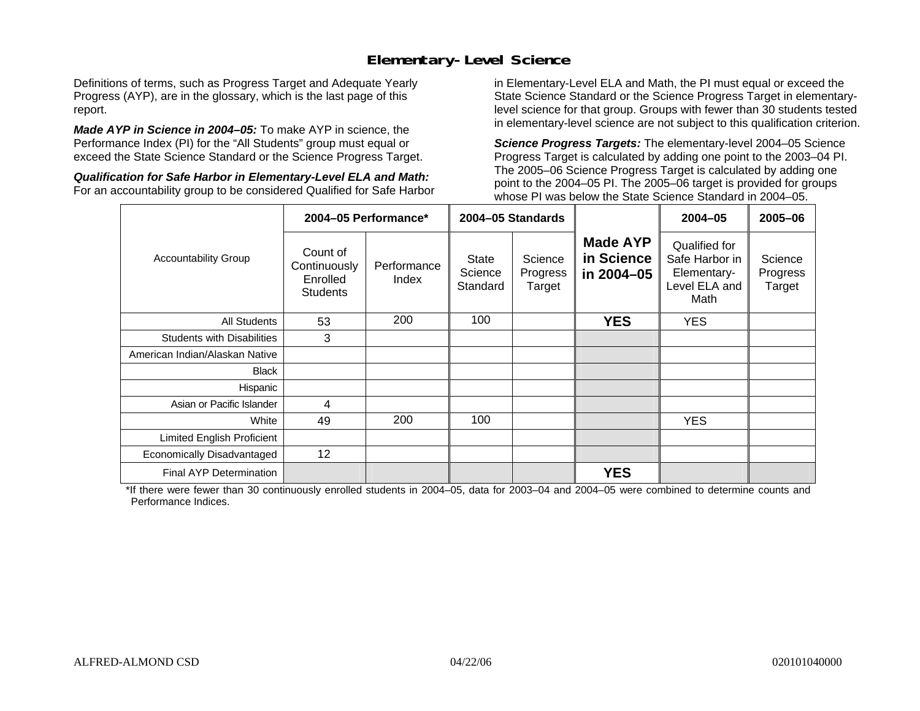### **Elementary-Level Science**

Definitions of terms, such as Progress Target and Adequate Yearly Progress (AYP), are in the glossary, which is the last page of this report.

*Made AYP in Science in 2004–05:* To make AYP in science, the Performance Index (PI) for the "All Students" group must equal or exceed the State Science Standard or the Science Progress Target.

*Qualification for Safe Harbor in Elementary-Level ELA and Math:* For an accountability group to be considered Qualified for Safe Harbor in Elementary-Level ELA and Math, the PI must equal or exceed the State Science Standard or the Science Progress Target in elementarylevel science for that group. Groups with fewer than 30 students tested in elementary-level science are not subject to this qualification criterion.

*Science Progress Targets:* The elementary-level 2004–05 Science Progress Target is calculated by adding one point to the 2003–04 PI. The 2005–06 Science Progress Target is calculated by adding one point to the 2004–05 PI. The 2005–06 target is provided for groups whose PI was below the State Science Standard in 2004–05.

|                                   |                                                         | 2004-05 Performance* | 2004-05 Standards            |                               |                                             | $2004 - 05$                                                             | 2005-06                       |
|-----------------------------------|---------------------------------------------------------|----------------------|------------------------------|-------------------------------|---------------------------------------------|-------------------------------------------------------------------------|-------------------------------|
| <b>Accountability Group</b>       | Count of<br>Continuously<br>Enrolled<br><b>Students</b> | Performance<br>Index | State<br>Science<br>Standard | Science<br>Progress<br>Target | <b>Made AYP</b><br>in Science<br>in 2004-05 | Qualified for<br>Safe Harbor in<br>Elementary-<br>Level ELA and<br>Math | Science<br>Progress<br>Target |
| All Students                      | 53                                                      | 200                  | 100                          |                               | <b>YES</b>                                  | <b>YES</b>                                                              |                               |
| <b>Students with Disabilities</b> | 3                                                       |                      |                              |                               |                                             |                                                                         |                               |
| American Indian/Alaskan Native    |                                                         |                      |                              |                               |                                             |                                                                         |                               |
| <b>Black</b>                      |                                                         |                      |                              |                               |                                             |                                                                         |                               |
| Hispanic                          |                                                         |                      |                              |                               |                                             |                                                                         |                               |
| Asian or Pacific Islander         | 4                                                       |                      |                              |                               |                                             |                                                                         |                               |
| White                             | 49                                                      | 200                  | 100                          |                               |                                             | <b>YES</b>                                                              |                               |
| Limited English Proficient        |                                                         |                      |                              |                               |                                             |                                                                         |                               |
| Economically Disadvantaged        | 12                                                      |                      |                              |                               |                                             |                                                                         |                               |
| <b>Final AYP Determination</b>    |                                                         |                      |                              |                               | <b>YES</b>                                  |                                                                         |                               |

\*If there were fewer than 30 continuously enrolled students in 2004–05, data for 2003–04 and 2004–05 were combined to determine counts and Performance Indices.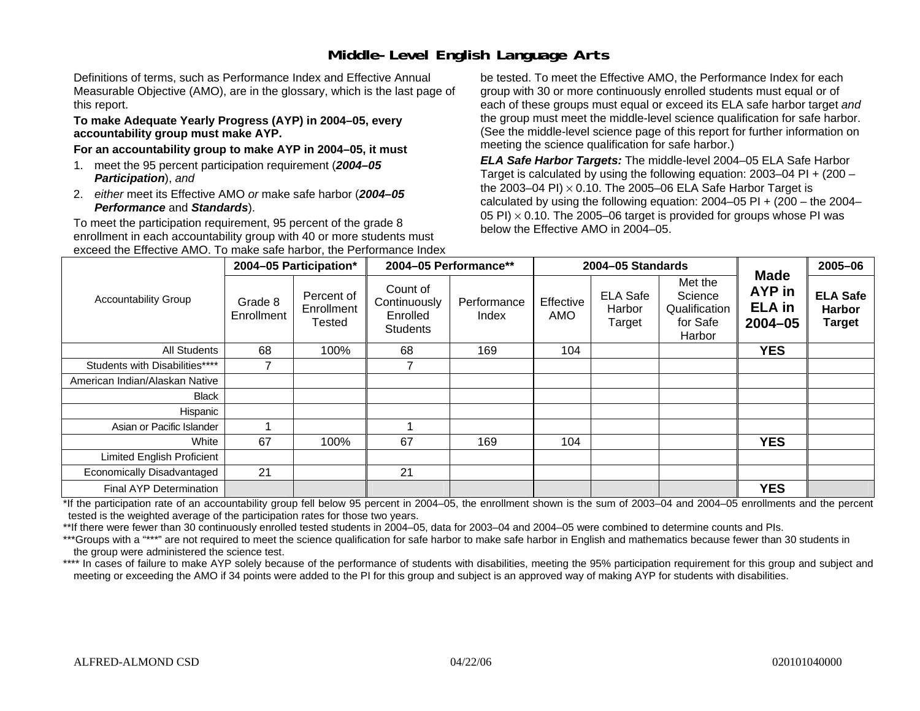# **Middle-Level English Language Arts**

Definitions of terms, such as Performance Index and Effective Annual Measurable Objective (AMO), are in the glossary, which is the last page of this report.

#### **To make Adequate Yearly Progress (AYP) in 2004–05, every accountability group must make AYP.**

#### **For an accountability group to make AYP in 2004–05, it must**

- 1. meet the 95 percent participation requirement (*2004–05 Participation*), *and*
- 2. *either* meet its Effective AMO *or* make safe harbor (*2004–05 Performance* and *Standards*).

To meet the participation requirement, 95 percent of the grade 8 enrollment in each accountability group with 40 or more students must exceed the Effective AMO. To make safe harbor, the Performance Index be tested. To meet the Effective AMO, the Performance Index for each group with 30 or more continuously enrolled students must equal or of each of these groups must equal or exceed its ELA safe harbor target *and* the group must meet the middle-level science qualification for safe harbor. (See the middle-level science page of this report for further information on meeting the science qualification for safe harbor.)

*ELA Safe Harbor Targets:* The middle-level 2004–05 ELA Safe Harbor Target is calculated by using the following equation: 2003–04 PI + (200 – the 2003–04 PI) <sup>×</sup> 0.10. The 2005–06 ELA Safe Harbor Target is calculated by using the following equation:  $2004-05$  PI +  $(200 -$  the  $2004-$ 05 PI)  $\times$  0.10. The 2005–06 target is provided for groups whose PI was below the Effective AMO in 2004–05.

|                                |                       | 2004-05 Participation*                    |                                                         | 2004-05 Performance** |                  | 2004-05 Standards                   |                                                           |                                                | 2005-06                                           |
|--------------------------------|-----------------------|-------------------------------------------|---------------------------------------------------------|-----------------------|------------------|-------------------------------------|-----------------------------------------------------------|------------------------------------------------|---------------------------------------------------|
| <b>Accountability Group</b>    | Grade 8<br>Enrollment | Percent of<br>Enrollment<br><b>Tested</b> | Count of<br>Continuously<br>Enrolled<br><b>Students</b> | Performance<br>Index  | Effective<br>AMO | <b>ELA Safe</b><br>Harbor<br>Target | Met the<br>Science<br>Qualification<br>for Safe<br>Harbor | Made<br>AYP in<br><b>ELA</b> in<br>$2004 - 05$ | <b>ELA Safe</b><br><b>Harbor</b><br><b>Target</b> |
| All Students                   | 68                    | 100%                                      | 68                                                      | 169                   | 104              |                                     |                                                           | <b>YES</b>                                     |                                                   |
| Students with Disabilities**** |                       |                                           |                                                         |                       |                  |                                     |                                                           |                                                |                                                   |
| American Indian/Alaskan Native |                       |                                           |                                                         |                       |                  |                                     |                                                           |                                                |                                                   |
| Black                          |                       |                                           |                                                         |                       |                  |                                     |                                                           |                                                |                                                   |
| Hispanic                       |                       |                                           |                                                         |                       |                  |                                     |                                                           |                                                |                                                   |
| Asian or Pacific Islander      |                       |                                           |                                                         |                       |                  |                                     |                                                           |                                                |                                                   |
| White                          | 67                    | 100%                                      | 67                                                      | 169                   | 104              |                                     |                                                           | <b>YES</b>                                     |                                                   |
| Limited English Proficient     |                       |                                           |                                                         |                       |                  |                                     |                                                           |                                                |                                                   |
| Economically Disadvantaged     | 21                    |                                           | 21                                                      |                       |                  |                                     |                                                           |                                                |                                                   |
| Final AYP Determination        |                       |                                           |                                                         |                       |                  |                                     |                                                           | <b>YES</b>                                     |                                                   |

\*If the participation rate of an accountability group fell below 95 percent in 2004–05, the enrollment shown is the sum of 2003–04 and 2004–05 enrollments and the percent tested is the weighted average of the participation rates for those two years.

\*\*If there were fewer than 30 continuously enrolled tested students in 2004–05, data for 2003–04 and 2004–05 were combined to determine counts and PIs.

\*\*\*Groups with a "\*\*\*" are not required to meet the science qualification for safe harbor to make safe harbor in English and mathematics because fewer than 30 students in the group were administered the science test.

\*\*\*\* In cases of failure to make AYP solely because of the performance of students with disabilities, meeting the 95% participation requirement for this group and subject and meeting or exceeding the AMO if 34 points were added to the PI for this group and subject is an approved way of making AYP for students with disabilities.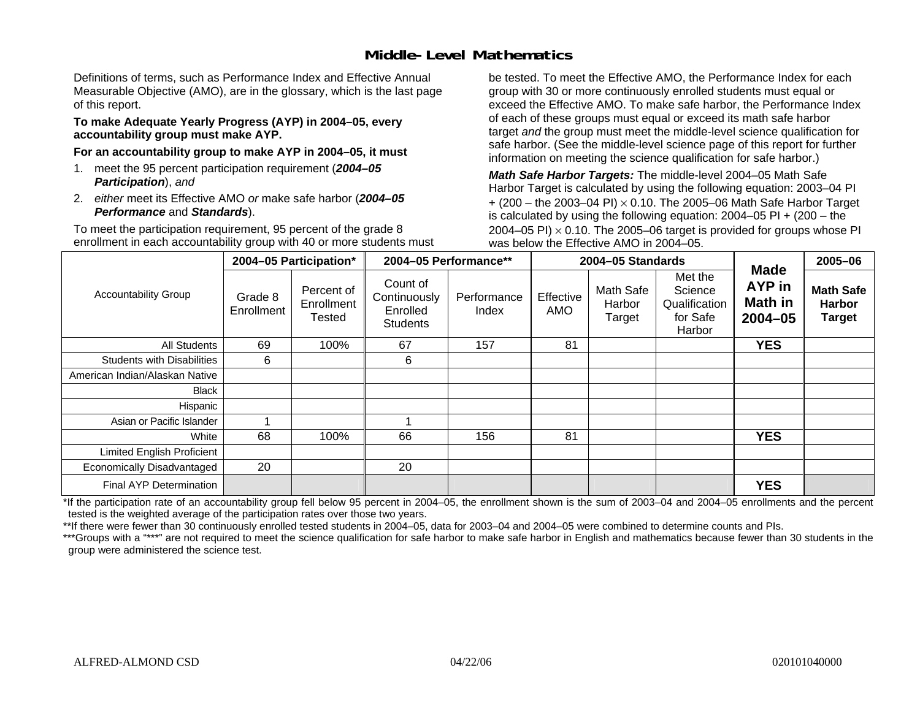### **Middle-Level Mathematics**

Definitions of terms, such as Performance Index and Effective Annual Measurable Objective (AMO), are in the glossary, which is the last page of this report.

#### **To make Adequate Yearly Progress (AYP) in 2004–05, every accountability group must make AYP.**

**For an accountability group to make AYP in 2004–05, it must** 

- 1. meet the 95 percent participation requirement (*2004–05 Participation*), *and*
- 2. *either* meet its Effective AMO *or* make safe harbor (*2004–05 Performance* and *Standards*).

To meet the participation requirement, 95 percent of the grade 8 enrollment in each accountability group with 40 or more students must be tested. To meet the Effective AMO, the Performance Index for each group with 30 or more continuously enrolled students must equal or exceed the Effective AMO. To make safe harbor, the Performance Index of each of these groups must equal or exceed its math safe harbor target *and* the group must meet the middle-level science qualification for safe harbor. (See the middle-level science page of this report for further information on meeting the science qualification for safe harbor.)

*Math Safe Harbor Targets:* The middle-level 2004–05 Math Safe Harbor Target is calculated by using the following equation: 2003–04 PI + (200 – the 2003–04 PI) <sup>×</sup> 0.10. The 2005–06 Math Safe Harbor Target is calculated by using the following equation: 2004–05 PI + (200 – the 2004–05 PI)  $\times$  0.10. The 2005–06 target is provided for groups whose PI was below the Effective AMO in 2004–05.

|                                   |                       | 2004-05 Participation*                    |                                                         | 2004-05 Performance** |                  | 2004-05 Standards             |                                                           |                                                               | 2005-06                                            |
|-----------------------------------|-----------------------|-------------------------------------------|---------------------------------------------------------|-----------------------|------------------|-------------------------------|-----------------------------------------------------------|---------------------------------------------------------------|----------------------------------------------------|
| <b>Accountability Group</b>       | Grade 8<br>Enrollment | Percent of<br>Enrollment<br><b>Tested</b> | Count of<br>Continuously<br>Enrolled<br><b>Students</b> | Performance<br>Index  | Effective<br>AMO | Math Safe<br>Harbor<br>Target | Met the<br>Science<br>Qualification<br>for Safe<br>Harbor | <b>Made</b><br><b>AYP</b> in<br><b>Math in</b><br>$2004 - 05$ | <b>Math Safe</b><br><b>Harbor</b><br><b>Target</b> |
| All Students                      | 69                    | 100%                                      | 67                                                      | 157                   | 81               |                               |                                                           | <b>YES</b>                                                    |                                                    |
| <b>Students with Disabilities</b> | 6                     |                                           | 6                                                       |                       |                  |                               |                                                           |                                                               |                                                    |
| American Indian/Alaskan Native    |                       |                                           |                                                         |                       |                  |                               |                                                           |                                                               |                                                    |
| Black                             |                       |                                           |                                                         |                       |                  |                               |                                                           |                                                               |                                                    |
| Hispanic                          |                       |                                           |                                                         |                       |                  |                               |                                                           |                                                               |                                                    |
| Asian or Pacific Islander         |                       |                                           |                                                         |                       |                  |                               |                                                           |                                                               |                                                    |
| White                             | 68                    | 100%                                      | 66                                                      | 156                   | 81               |                               |                                                           | <b>YES</b>                                                    |                                                    |
| Limited English Proficient        |                       |                                           |                                                         |                       |                  |                               |                                                           |                                                               |                                                    |
| Economically Disadvantaged        | 20                    |                                           | 20                                                      |                       |                  |                               |                                                           |                                                               |                                                    |
| <b>Final AYP Determination</b>    |                       |                                           |                                                         |                       |                  |                               |                                                           | <b>YES</b>                                                    |                                                    |

\*If the participation rate of an accountability group fell below 95 percent in 2004–05, the enrollment shown is the sum of 2003–04 and 2004–05 enrollments and the percent tested is the weighted average of the participation rates over those two years.

\*\*If there were fewer than 30 continuously enrolled tested students in 2004–05, data for 2003–04 and 2004–05 were combined to determine counts and PIs.

\*\*\*Groups with a "\*\*\*" are not required to meet the science qualification for safe harbor to make safe harbor in English and mathematics because fewer than 30 students in the group were administered the science test.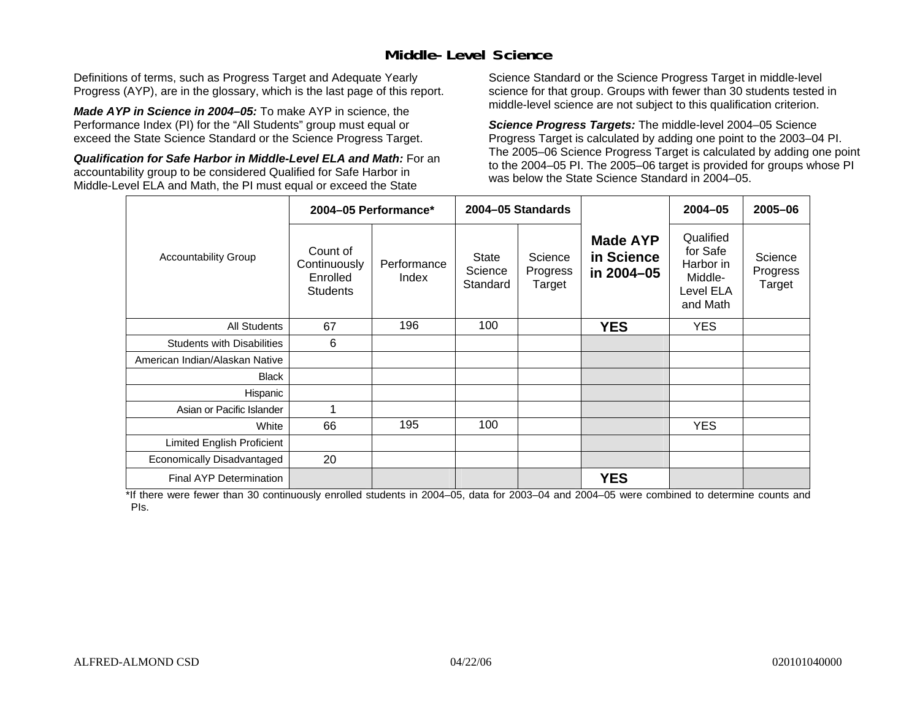### **Middle-Level Science**

Definitions of terms, such as Progress Target and Adequate Yearly Progress (AYP), are in the glossary, which is the last page of this report.

*Made AYP in Science in 2004–05:* To make AYP in science, the Performance Index (PI) for the "All Students" group must equal or exceed the State Science Standard or the Science Progress Target.

*Qualification for Safe Harbor in Middle-Level ELA and Math:* For an accountability group to be considered Qualified for Safe Harbor in Middle-Level ELA and Math, the PI must equal or exceed the State

Science Standard or the Science Progress Target in middle-level science for that group. Groups with fewer than 30 students tested in middle-level science are not subject to this qualification criterion.

*Science Progress Targets:* The middle-level 2004–05 Science Progress Target is calculated by adding one point to the 2003–04 PI. The 2005–06 Science Progress Target is calculated by adding one point to the 2004–05 PI. The 2005–06 target is provided for groups whose PI was below the State Science Standard in 2004–05.

|                                   |                                                         | 2004-05 Performance* |                                     | 2004-05 Standards             |                                             | $2004 - 05$                                                            | 2005-06                       |
|-----------------------------------|---------------------------------------------------------|----------------------|-------------------------------------|-------------------------------|---------------------------------------------|------------------------------------------------------------------------|-------------------------------|
| <b>Accountability Group</b>       | Count of<br>Continuously<br>Enrolled<br><b>Students</b> | Performance<br>Index | <b>State</b><br>Science<br>Standard | Science<br>Progress<br>Target | <b>Made AYP</b><br>in Science<br>in 2004-05 | Qualified<br>for Safe<br>Harbor in<br>Middle-<br>Level ELA<br>and Math | Science<br>Progress<br>Target |
| <b>All Students</b>               | 67                                                      | 196                  | 100                                 |                               | <b>YES</b>                                  | <b>YES</b>                                                             |                               |
| <b>Students with Disabilities</b> | 6                                                       |                      |                                     |                               |                                             |                                                                        |                               |
| American Indian/Alaskan Native    |                                                         |                      |                                     |                               |                                             |                                                                        |                               |
| <b>Black</b>                      |                                                         |                      |                                     |                               |                                             |                                                                        |                               |
| Hispanic                          |                                                         |                      |                                     |                               |                                             |                                                                        |                               |
| Asian or Pacific Islander         | 1                                                       |                      |                                     |                               |                                             |                                                                        |                               |
| White                             | 66                                                      | 195                  | 100                                 |                               |                                             | <b>YES</b>                                                             |                               |
| Limited English Proficient        |                                                         |                      |                                     |                               |                                             |                                                                        |                               |
| Economically Disadvantaged        | 20                                                      |                      |                                     |                               |                                             |                                                                        |                               |
| <b>Final AYP Determination</b>    |                                                         |                      |                                     |                               | <b>YES</b>                                  |                                                                        |                               |

\*If there were fewer than 30 continuously enrolled students in 2004–05, data for 2003–04 and 2004–05 were combined to determine counts and PIs.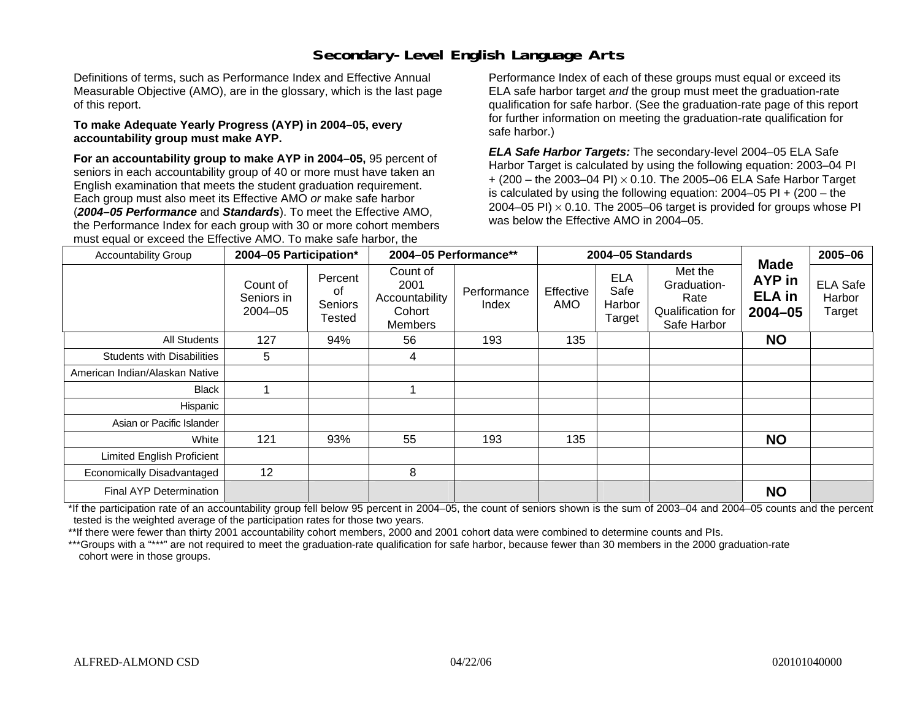# **Secondary-Level English Language Arts**

Definitions of terms, such as Performance Index and Effective Annual Measurable Objective (AMO), are in the glossary, which is the last page of this report.

#### **To make Adequate Yearly Progress (AYP) in 2004–05, every accountability group must make AYP.**

**For an accountability group to make AYP in 2004–05,** 95 percent of seniors in each accountability group of 40 or more must have taken an English examination that meets the student graduation requirement. Each group must also meet its Effective AMO *or* make safe harbor (*2004–05 Performance* and *Standards*). To meet the Effective AMO, the Performance Index for each group with 30 or more cohort members must equal or exceed the Effective AMO. To make safe harbor, the

Performance Index of each of these groups must equal or exceed its ELA safe harbor target *and* the group must meet the graduation-rate qualification for safe harbor. (See the graduation-rate page of this report for further information on meeting the graduation-rate qualification for safe harbor.)

*ELA Safe Harbor Targets:* The secondary-level 2004–05 ELA Safe Harbor Target is calculated by using the following equation: 2003–04 PI + (200 – the 2003–04 PI) <sup>×</sup> 0.10. The 2005–06 ELA Safe Harbor Target is calculated by using the following equation:  $2004-05$  PI  $+$  (200 – the 2004–05 PI)  $\times$  0.10. The 2005–06 target is provided for groups whose PI was below the Effective AMO in 2004–05.

| <b>Accountability Group</b>       | 2004-05 Participation*                |                                    |                                                         | 2004-05 Performance**<br>2004-05 Standards |                  | <b>Made</b>                            | 2005-06                                                            |                                    |                                     |
|-----------------------------------|---------------------------------------|------------------------------------|---------------------------------------------------------|--------------------------------------------|------------------|----------------------------------------|--------------------------------------------------------------------|------------------------------------|-------------------------------------|
|                                   | Count of<br>Seniors in<br>$2004 - 05$ | Percent<br>of<br>Seniors<br>Tested | Count of<br>2001<br>Accountability<br>Cohort<br>Members | Performance<br>Index                       | Effective<br>AMO | <b>ELA</b><br>Safe<br>Harbor<br>Target | Met the<br>Graduation-<br>Rate<br>Qualification for<br>Safe Harbor | AYP in<br><b>ELA</b> in<br>2004-05 | <b>ELA Safe</b><br>Harbor<br>Target |
| All Students                      | 127                                   | 94%                                | 56                                                      | 193                                        | 135              |                                        |                                                                    | <b>NO</b>                          |                                     |
| <b>Students with Disabilities</b> | 5                                     |                                    | 4                                                       |                                            |                  |                                        |                                                                    |                                    |                                     |
| American Indian/Alaskan Native    |                                       |                                    |                                                         |                                            |                  |                                        |                                                                    |                                    |                                     |
| <b>Black</b>                      |                                       |                                    |                                                         |                                            |                  |                                        |                                                                    |                                    |                                     |
| Hispanic                          |                                       |                                    |                                                         |                                            |                  |                                        |                                                                    |                                    |                                     |
| Asian or Pacific Islander         |                                       |                                    |                                                         |                                            |                  |                                        |                                                                    |                                    |                                     |
| White                             | 121                                   | 93%                                | 55                                                      | 193                                        | 135              |                                        |                                                                    | <b>NO</b>                          |                                     |
| Limited English Proficient        |                                       |                                    |                                                         |                                            |                  |                                        |                                                                    |                                    |                                     |
| Economically Disadvantaged        | 12                                    |                                    | 8                                                       |                                            |                  |                                        |                                                                    |                                    |                                     |
| Final AYP Determination           |                                       |                                    |                                                         |                                            |                  |                                        |                                                                    | <b>NO</b>                          |                                     |

\*If the participation rate of an accountability group fell below 95 percent in 2004–05, the count of seniors shown is the sum of 2003–04 and 2004–05 counts and the percent tested is the weighted average of the participation rates for those two years.

\*\*If there were fewer than thirty 2001 accountability cohort members, 2000 and 2001 cohort data were combined to determine counts and PIs.

\*\*\*Groups with a "\*\*\*" are not required to meet the graduation-rate qualification for safe harbor, because fewer than 30 members in the 2000 graduation-rate cohort were in those groups.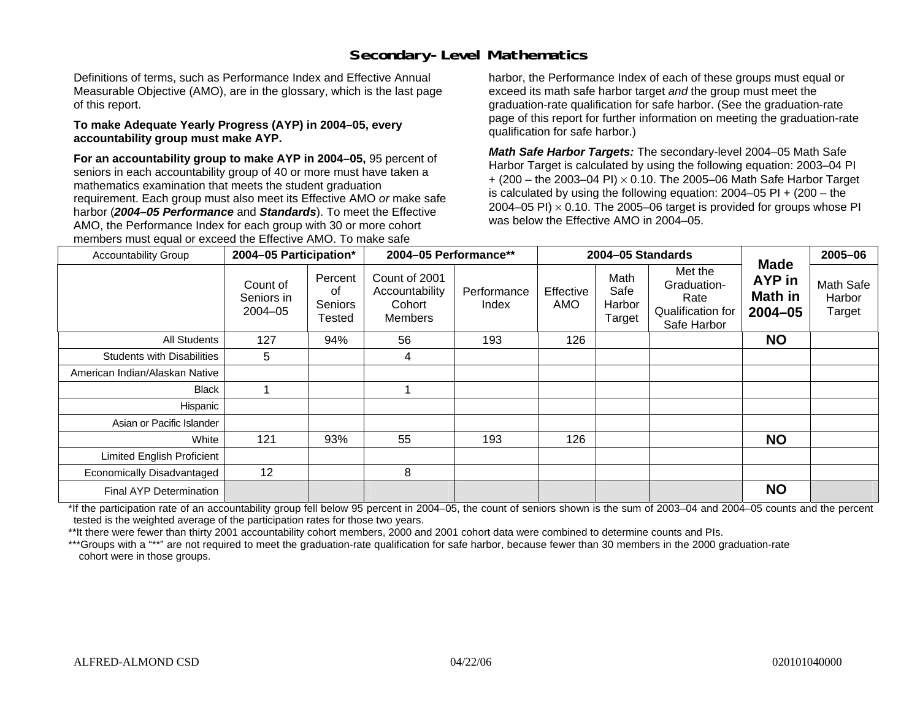# **Secondary-Level Mathematics**

Definitions of terms, such as Performance Index and Effective Annual Measurable Objective (AMO), are in the glossary, which is the last page of this report.

#### **To make Adequate Yearly Progress (AYP) in 2004–05, every accountability group must make AYP.**

**For an accountability group to make AYP in 2004–05,** 95 percent of seniors in each accountability group of 40 or more must have taken a mathematics examination that meets the student graduation requirement. Each group must also meet its Effective AMO *or* make safe harbor (*2004–05 Performance* and *Standards*). To meet the Effective AMO, the Performance Index for each group with 30 or more cohort members must equal or exceed the Effective AMO. To make safe

harbor, the Performance Index of each of these groups must equal or exceed its math safe harbor target *and* the group must meet the graduation-rate qualification for safe harbor. (See the graduation-rate page of this report for further information on meeting the graduation-rate qualification for safe harbor.)

*Math Safe Harbor Targets:* The secondary-level 2004–05 Math Safe Harbor Target is calculated by using the following equation: 2003–04 PI + (200 – the 2003–04 PI) <sup>×</sup> 0.10. The 2005–06 Math Safe Harbor Target is calculated by using the following equation:  $2004-05$  PI  $+$  (200 – the 2004–05 PI)  $\times$  0.10. The 2005–06 target is provided for groups whose PI was below the Effective AMO in 2004–05.

| <b>Accountability Group</b>       | 2004-05 Participation*                |                                    | 2004-05 Performance**                                       |                      | 2004-05 Standards |                                  | <b>Made</b>                                                        | 2005-06                          |                               |
|-----------------------------------|---------------------------------------|------------------------------------|-------------------------------------------------------------|----------------------|-------------------|----------------------------------|--------------------------------------------------------------------|----------------------------------|-------------------------------|
|                                   | Count of<br>Seniors in<br>$2004 - 05$ | Percent<br>οf<br>Seniors<br>Tested | Count of 2001<br>Accountability<br>Cohort<br><b>Members</b> | Performance<br>Index | Effective<br>AMO  | Math<br>Safe<br>Harbor<br>Target | Met the<br>Graduation-<br>Rate<br>Qualification for<br>Safe Harbor | AYP in<br>Math in<br>$2004 - 05$ | Math Safe<br>Harbor<br>Target |
| All Students                      | 127                                   | 94%                                | 56                                                          | 193                  | 126               |                                  |                                                                    | <b>NO</b>                        |                               |
| <b>Students with Disabilities</b> | 5                                     |                                    | 4                                                           |                      |                   |                                  |                                                                    |                                  |                               |
| American Indian/Alaskan Native    |                                       |                                    |                                                             |                      |                   |                                  |                                                                    |                                  |                               |
| Black                             |                                       |                                    |                                                             |                      |                   |                                  |                                                                    |                                  |                               |
| Hispanic                          |                                       |                                    |                                                             |                      |                   |                                  |                                                                    |                                  |                               |
| Asian or Pacific Islander         |                                       |                                    |                                                             |                      |                   |                                  |                                                                    |                                  |                               |
| White                             | 121                                   | 93%                                | 55                                                          | 193                  | 126               |                                  |                                                                    | <b>NO</b>                        |                               |
| <b>Limited English Proficient</b> |                                       |                                    |                                                             |                      |                   |                                  |                                                                    |                                  |                               |
| Economically Disadvantaged        | 12                                    |                                    | 8                                                           |                      |                   |                                  |                                                                    |                                  |                               |
| Final AYP Determination           |                                       |                                    |                                                             |                      |                   |                                  |                                                                    | <b>NO</b>                        |                               |

\*If the participation rate of an accountability group fell below 95 percent in 2004–05, the count of seniors shown is the sum of 2003–04 and 2004–05 counts and the percent tested is the weighted average of the participation rates for those two years.

\*\*It there were fewer than thirty 2001 accountability cohort members, 2000 and 2001 cohort data were combined to determine counts and PIs.

\*\*\*Groups with a "\*\*" are not required to meet the graduation-rate qualification for safe harbor, because fewer than 30 members in the 2000 graduation-rate cohort were in those groups.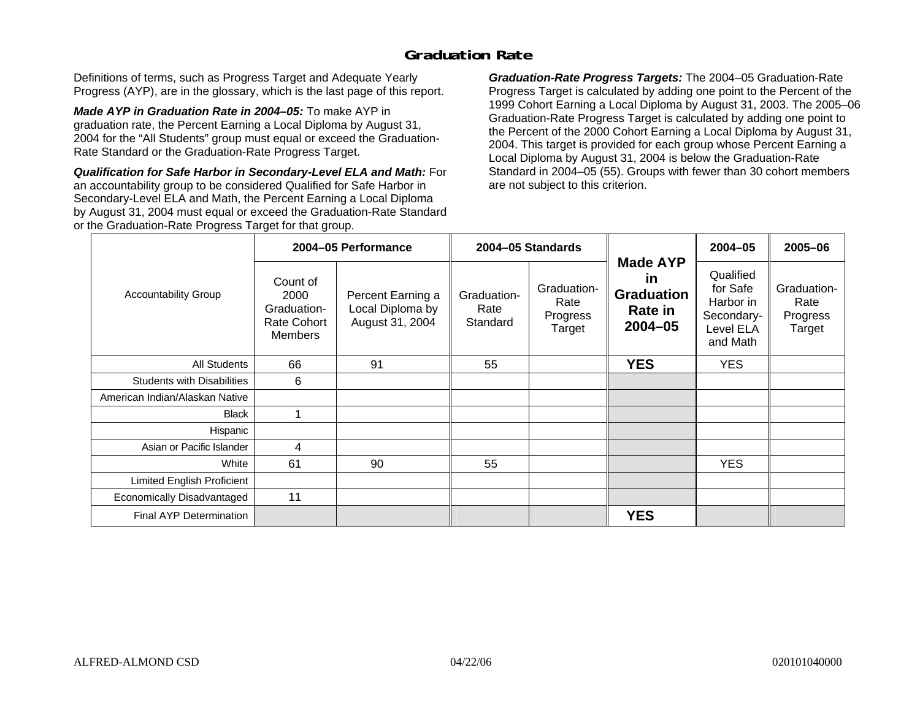### **Graduation Rate**

Definitions of terms, such as Progress Target and Adequate Yearly Progress (AYP), are in the glossary, which is the last page of this report.

*Made AYP in Graduation Rate in 2004–05:* To make AYP in graduation rate, the Percent Earning a Local Diploma by August 31, 2004 for the "All Students" group must equal or exceed the Graduation-Rate Standard or the Graduation-Rate Progress Target.

*Qualification for Safe Harbor in Secondary-Level ELA and Math:* For an accountability group to be considered Qualified for Safe Harbor in Secondary-Level ELA and Math, the Percent Earning a Local Diploma by August 31, 2004 must equal or exceed the Graduation-Rate Standard or the Graduation-Rate Progress Target for that group.

*Graduation-Rate Progress Targets:* The 2004–05 Graduation-Rate Progress Target is calculated by adding one point to the Percent of the 1999 Cohort Earning a Local Diploma by August 31, 2003. The 2005–06 Graduation-Rate Progress Target is calculated by adding one point to the Percent of the 2000 Cohort Earning a Local Diploma by August 31, 2004. This target is provided for each group whose Percent Earning a Local Diploma by August 31, 2004 is below the Graduation-Rate Standard in 2004–05 (55). Groups with fewer than 30 cohort members are not subject to this criterion.

|                                   |                                                                  | 2004-05 Performance                                      |                                 | 2004-05 Standards                         |                                                                             | $2004 - 05$                                                               | 2005-06                                   |
|-----------------------------------|------------------------------------------------------------------|----------------------------------------------------------|---------------------------------|-------------------------------------------|-----------------------------------------------------------------------------|---------------------------------------------------------------------------|-------------------------------------------|
| <b>Accountability Group</b>       | Count of<br>2000<br>Graduation-<br>Rate Cohort<br><b>Members</b> | Percent Earning a<br>Local Diploma by<br>August 31, 2004 | Graduation-<br>Rate<br>Standard | Graduation-<br>Rate<br>Progress<br>Target | <b>Made AYP</b><br><u>in</u><br><b>Graduation</b><br>Rate in<br>$2004 - 05$ | Qualified<br>for Safe<br>Harbor in<br>Secondary-<br>Level ELA<br>and Math | Graduation-<br>Rate<br>Progress<br>Target |
| All Students                      | 66                                                               | 91                                                       | 55                              |                                           | <b>YES</b>                                                                  | <b>YES</b>                                                                |                                           |
| <b>Students with Disabilities</b> | 6                                                                |                                                          |                                 |                                           |                                                                             |                                                                           |                                           |
| American Indian/Alaskan Native    |                                                                  |                                                          |                                 |                                           |                                                                             |                                                                           |                                           |
| <b>Black</b>                      |                                                                  |                                                          |                                 |                                           |                                                                             |                                                                           |                                           |
| Hispanic                          |                                                                  |                                                          |                                 |                                           |                                                                             |                                                                           |                                           |
| Asian or Pacific Islander         | 4                                                                |                                                          |                                 |                                           |                                                                             |                                                                           |                                           |
| White                             | 61                                                               | 90                                                       | 55                              |                                           |                                                                             | <b>YES</b>                                                                |                                           |
| Limited English Proficient        |                                                                  |                                                          |                                 |                                           |                                                                             |                                                                           |                                           |
| Economically Disadvantaged        | 11                                                               |                                                          |                                 |                                           |                                                                             |                                                                           |                                           |
| <b>Final AYP Determination</b>    |                                                                  |                                                          |                                 |                                           | <b>YES</b>                                                                  |                                                                           |                                           |